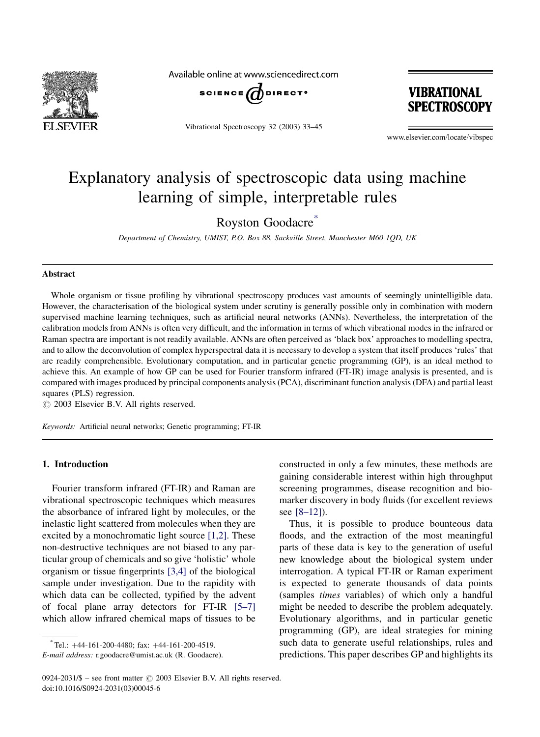

Available online at www.sciencedirect.com



Vibrational Spectroscopy 32 (2003) 33–45



www.elsevier.com/locate/vibspec

# Explanatory analysis of spectroscopic data using machine learning of simple, interpretable rules

Royston Goodacre<sup>\*</sup>

Department of Chemistry, UMIST, P.O. Box 88, Sackville Street, Manchester M60 1QD, UK

## Abstract

Whole organism or tissue profiling by vibrational spectroscopy produces vast amounts of seemingly unintelligible data. However, the characterisation of the biological system under scrutiny is generally possible only in combination with modern supervised machine learning techniques, such as artificial neural networks (ANNs). Nevertheless, the interpretation of the calibration models from ANNs is often very difficult, and the information in terms of which vibrational modes in the infrared or Raman spectra are important is not readily available. ANNs are often perceived as 'black box' approaches to modelling spectra, and to allow the deconvolution of complex hyperspectral data it is necessary to develop a system that itself produces 'rules' that are readily comprehensible. Evolutionary computation, and in particular genetic programming (GP), is an ideal method to achieve this. An example of how GP can be used for Fourier transform infrared (FT-IR) image analysis is presented, and is compared with images produced by principal components analysis (PCA), discriminant function analysis (DFA) and partial least squares (PLS) regression.

 $\odot$  2003 Elsevier B.V. All rights reserved.

Keywords: Artificial neural networks; Genetic programming; FT-IR

## 1. Introduction

Fourier transform infrared (FT-IR) and Raman are vibrational spectroscopic techniques which measures the absorbance of infrared light by molecules, or the inelastic light scattered from molecules when they are excited by a monochromatic light source [\[1,2\].](#page-11-0) These non-destructive techniques are not biased to any particular group of chemicals and so give 'holistic' whole organism or tissue fingerprints [\[3,4\]](#page-11-0) of the biological sample under investigation. Due to the rapidity with which data can be collected, typified by the advent of focal plane array detectors for FT-IR [\[5–7\]](#page-11-0) which allow infrared chemical maps of tissues to be

constructed in only a few minutes, these methods are gaining considerable interest within high throughput screening programmes, disease recognition and biomarker discovery in body fluids (for excellent reviews see [\[8–12\]](#page-11-0)).

Thus, it is possible to produce bounteous data floods, and the extraction of the most meaningful parts of these data is key to the generation of useful new knowledge about the biological system under interrogation. A typical FT-IR or Raman experiment is expected to generate thousands of data points (samples times variables) of which only a handful might be needed to describe the problem adequately. Evolutionary algorithms, and in particular genetic programming (GP), are ideal strategies for mining such data to generate useful relationships, rules and predictions. This paper describes GP and highlights its

 $^*$ Tel.:  $+44-161-200-4480$ ; fax:  $+44-161-200-4519$ .

E-mail address: r.goodacre@umist.ac.uk (R. Goodacre).

<sup>0924-2031/\$ –</sup> see front matter  $\odot$  2003 Elsevier B.V. All rights reserved. doi:10.1016/S0924-2031(03)00045-6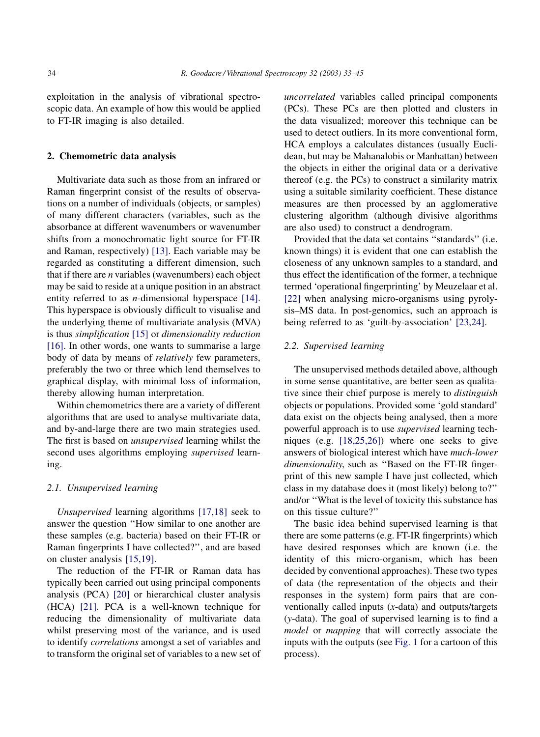exploitation in the analysis of vibrational spectroscopic data. An example of how this would be applied to FT-IR imaging is also detailed.

## 2. Chemometric data analysis

Multivariate data such as those from an infrared or Raman fingerprint consist of the results of observations on a number of individuals (objects, or samples) of many different characters (variables, such as the absorbance at different wavenumbers or wavenumber shifts from a monochromatic light source for FT-IR and Raman, respectively) [\[13\].](#page-11-0) Each variable may be regarded as constituting a different dimension, such that if there are  $n$  variables (wavenumbers) each object may be said to reside at a unique position in an abstract entity referred to as *n*-dimensional hyperspace [\[14\]](#page-11-0). This hyperspace is obviously difficult to visualise and the underlying theme of multivariate analysis (MVA) is thus simplification [\[15\]](#page-11-0) or dimensionality reduction [\[16\]](#page-11-0). In other words, one wants to summarise a large body of data by means of relatively few parameters, preferably the two or three which lend themselves to graphical display, with minimal loss of information, thereby allowing human interpretation.

Within chemometrics there are a variety of different algorithms that are used to analyse multivariate data, and by-and-large there are two main strategies used. The first is based on unsupervised learning whilst the second uses algorithms employing supervised learning.

#### 2.1. Unsupervised learning

Unsupervised learning algorithms [\[17,18\]](#page-11-0) seek to answer the question ''How similar to one another are these samples (e.g. bacteria) based on their FT-IR or Raman fingerprints I have collected?'', and are based on cluster analysis [\[15,19\]](#page-11-0).

The reduction of the FT-IR or Raman data has typically been carried out using principal components analysis (PCA) [\[20\]](#page-11-0) or hierarchical cluster analysis (HCA) [\[21\]](#page-11-0). PCA is a well-known technique for reducing the dimensionality of multivariate data whilst preserving most of the variance, and is used to identify correlations amongst a set of variables and to transform the original set of variables to a new set of uncorrelated variables called principal components (PCs). These PCs are then plotted and clusters in the data visualized; moreover this technique can be used to detect outliers. In its more conventional form, HCA employs a calculates distances (usually Euclidean, but may be Mahanalobis or Manhattan) between the objects in either the original data or a derivative thereof (e.g. the PCs) to construct a similarity matrix using a suitable similarity coefficient. These distance measures are then processed by an agglomerative clustering algorithm (although divisive algorithms are also used) to construct a dendrogram.

Provided that the data set contains ''standards'' (i.e. known things) it is evident that one can establish the closeness of any unknown samples to a standard, and thus effect the identification of the former, a technique termed 'operational fingerprinting' by Meuzelaar et al. [\[22\]](#page-11-0) when analysing micro-organisms using pyrolysis–MS data. In post-genomics, such an approach is being referred to as 'guilt-by-association' [\[23,24\].](#page-11-0)

## 2.2. Supervised learning

The unsupervised methods detailed above, although in some sense quantitative, are better seen as qualitative since their chief purpose is merely to *distinguish* objects or populations. Provided some 'gold standard' data exist on the objects being analysed, then a more powerful approach is to use supervised learning techniques (e.g. [\[18,25,26\]\)](#page-11-0) where one seeks to give answers of biological interest which have much-lower dimensionality, such as "Based on the FT-IR fingerprint of this new sample I have just collected, which class in my database does it (most likely) belong to?'' and/or ''What is the level of toxicity this substance has on this tissue culture?''

The basic idea behind supervised learning is that there are some patterns (e.g. FT-IR fingerprints) which have desired responses which are known (i.e. the identity of this micro-organism, which has been decided by conventional approaches). These two types of data (the representation of the objects and their responses in the system) form pairs that are conventionally called inputs (x-data) and outputs/targets (y-data). The goal of supervised learning is to find a model or mapping that will correctly associate the inputs with the outputs (see [Fig. 1](#page-2-0) for a cartoon of this process).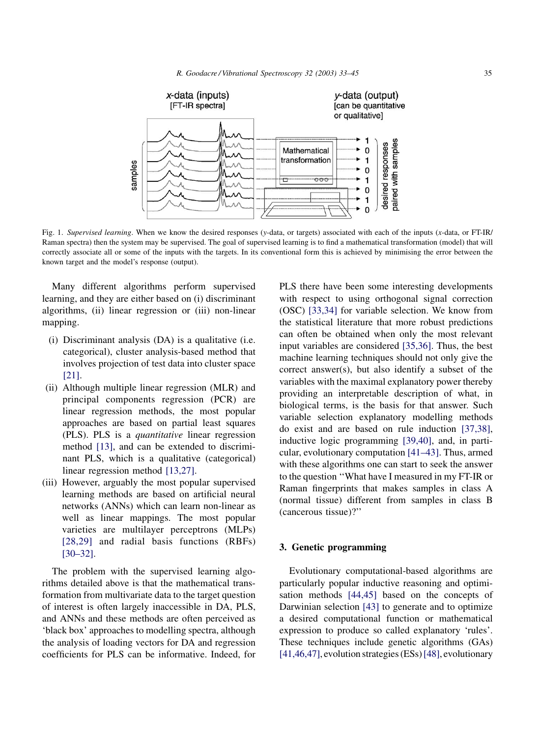<span id="page-2-0"></span>

Fig. 1. Supervised learning. When we know the desired responses (y-data, or targets) associated with each of the inputs (x-data, or FT-IR/ Raman spectra) then the system may be supervised. The goal of supervised learning is to find a mathematical transformation (model) that will correctly associate all or some of the inputs with the targets. In its conventional form this is achieved by minimising the error between the known target and the model's response (output).

Many different algorithms perform supervised learning, and they are either based on (i) discriminant algorithms, (ii) linear regression or (iii) non-linear mapping.

- (i) Discriminant analysis (DA) is a qualitative (i.e. categorical), cluster analysis-based method that involves projection of test data into cluster space [\[21\]](#page-11-0).
- (ii) Although multiple linear regression (MLR) and principal components regression (PCR) are linear regression methods, the most popular approaches are based on partial least squares (PLS). PLS is a quantitative linear regression method [\[13\],](#page-11-0) and can be extended to discriminant PLS, which is a qualitative (categorical) linear regression method [\[13,27\]](#page-11-0).
- (iii) However, arguably the most popular supervised learning methods are based on artificial neural networks (ANNs) which can learn non-linear as well as linear mappings. The most popular varieties are multilayer perceptrons (MLPs) [\[28,29\]](#page-11-0) and radial basis functions (RBFs) [\[30–32\]](#page-11-0).

The problem with the supervised learning algorithms detailed above is that the mathematical transformation from multivariate data to the target question of interest is often largely inaccessible in DA, PLS, and ANNs and these methods are often perceived as 'black box' approaches to modelling spectra, although the analysis of loading vectors for DA and regression coefficients for PLS can be informative. Indeed, for PLS there have been some interesting developments with respect to using orthogonal signal correction (OSC) [\[33,34\]](#page-11-0) for variable selection. We know from the statistical literature that more robust predictions can often be obtained when only the most relevant input variables are considered [\[35,36\].](#page-11-0) Thus, the best machine learning techniques should not only give the correct answer(s), but also identify a subset of the variables with the maximal explanatory power thereby providing an interpretable description of what, in biological terms, is the basis for that answer. Such variable selection explanatory modelling methods do exist and are based on rule induction [\[37,38\]](#page-11-0), inductive logic programming [\[39,40\]](#page-11-0), and, in particular, evolutionary computation [\[41–43\]](#page-11-0). Thus, armed with these algorithms one can start to seek the answer to the question ''What have I measured in my FT-IR or Raman fingerprints that makes samples in class A (normal tissue) different from samples in class B (cancerous tissue)?''

#### 3. Genetic programming

Evolutionary computational-based algorithms are particularly popular inductive reasoning and optimisation methods [\[44,45\]](#page-11-0) based on the concepts of Darwinian selection [\[43\]](#page-11-0) to generate and to optimize a desired computational function or mathematical expression to produce so called explanatory 'rules'. These techniques include genetic algorithms (GAs) [\[41,46,47\],](#page-11-0) evolution strategies (ESs)[\[48\]](#page-11-0), evolutionary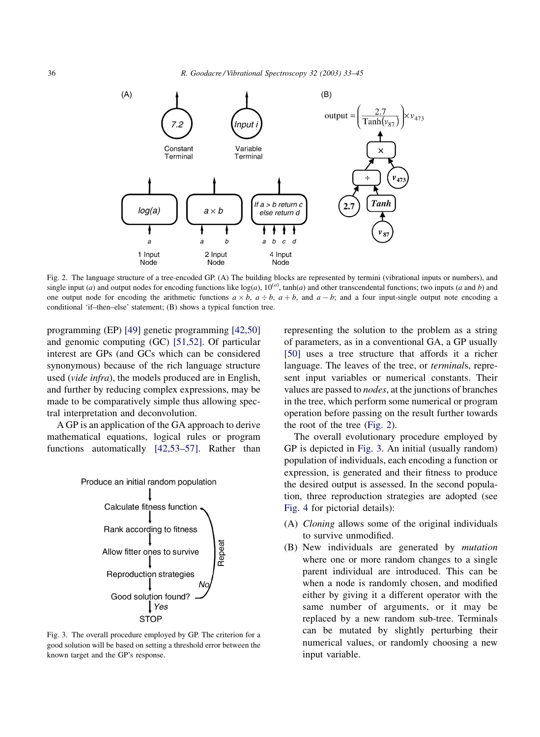

Fig. 2. The language structure of a tree-encoded GP. (A) The building blocks are represented by termini (vibrational inputs or numbers), and single input (a) and output nodes for encoding functions like  $log(a)$ ,  $10^{(a)}$ ,  $tanh(a)$  and other transcendental functions; two inputs (a and b) and one output node for encoding the arithmetic functions  $a \times b$ ,  $a \div b$ ,  $a + b$ , and  $a - b$ ; and a four input-single output note encoding a conditional 'if–then–else' statement; (B) shows a typical function tree.

programming (EP) [\[49\]](#page-11-0) genetic programming [\[42,50\]](#page-11-0) and genomic computing (GC) [\[51,52\].](#page-12-0) Of particular interest are GPs (and GCs which can be considered synonymous) because of the rich language structure used (vide infra), the models produced are in English, and further by reducing complex expressions, may be made to be comparatively simple thus allowing spectral interpretation and deconvolution.

A GP is an application of the GA approach to derive mathematical equations, logical rules or program functions automatically [\[42,53–57\].](#page-11-0) Rather than



Fig. 3. The overall procedure employed by GP. The criterion for a good solution will be based on setting a threshold error between the known target and the GP's response.

representing the solution to the problem as a string of parameters, as in a conventional GA, a GP usually [\[50\]](#page-11-0) uses a tree structure that affords it a richer language. The leaves of the tree, or terminals, represent input variables or numerical constants. Their values are passed to nodes, at the junctions of branches in the tree, which perform some numerical or program operation before passing on the result further towards the root of the tree (Fig. 2).

The overall evolutionary procedure employed by GP is depicted in Fig. 3. An initial (usually random) population of individuals, each encoding a function or expression, is generated and their fitness to produce the desired output is assessed. In the second population, three reproduction strategies are adopted (see [Fig. 4](#page-4-0) for pictorial details):

- (A) Cloning allows some of the original individuals to survive unmodified.
- (B) New individuals are generated by mutation where one or more random changes to a single parent individual are introduced. This can be when a node is randomly chosen, and modified either by giving it a different operator with the same number of arguments, or it may be replaced by a new random sub-tree. Terminals can be mutated by slightly perturbing their numerical values, or randomly choosing a new input variable.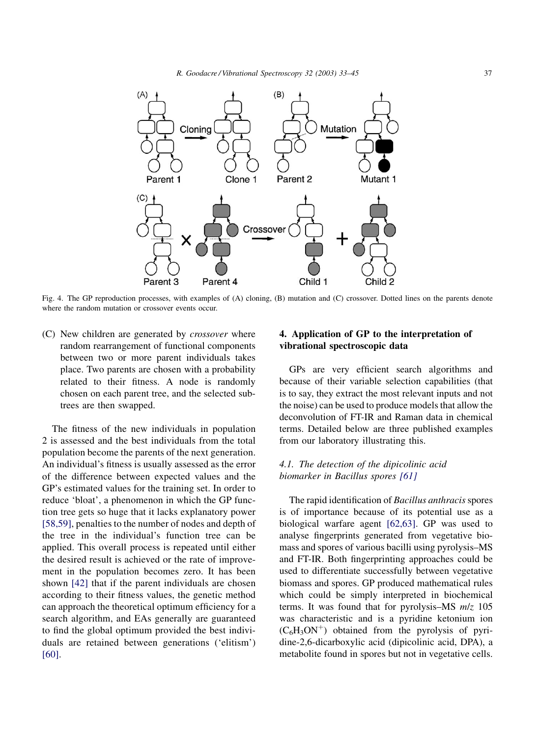<span id="page-4-0"></span>

Fig. 4. The GP reproduction processes, with examples of (A) cloning, (B) mutation and (C) crossover. Dotted lines on the parents denote where the random mutation or crossover events occur.

(C) New children are generated by crossover where random rearrangement of functional components between two or more parent individuals takes place. Two parents are chosen with a probability related to their fitness. A node is randomly chosen on each parent tree, and the selected subtrees are then swapped.

The fitness of the new individuals in population 2 is assessed and the best individuals from the total population become the parents of the next generation. An individual's fitness is usually assessed as the error of the difference between expected values and the GP's estimated values for the training set. In order to reduce 'bloat', a phenomenon in which the GP function tree gets so huge that it lacks explanatory power [\[58,59\]](#page-12-0), penalties to the number of nodes and depth of the tree in the individual's function tree can be applied. This overall process is repeated until either the desired result is achieved or the rate of improvement in the population becomes zero. It has been shown [\[42\]](#page-11-0) that if the parent individuals are chosen according to their fitness values, the genetic method can approach the theoretical optimum efficiency for a search algorithm, and EAs generally are guaranteed to find the global optimum provided the best individuals are retained between generations ('elitism') [\[60\]](#page-12-0).

## 4. Application of GP to the interpretation of vibrational spectroscopic data

GPs are very efficient search algorithms and because of their variable selection capabilities (that is to say, they extract the most relevant inputs and not the noise) can be used to produce models that allow the deconvolution of FT-IR and Raman data in chemical terms. Detailed below are three published examples from our laboratory illustrating this.

# 4.1. The detection of the dipicolinic acid biomarker in Bacillus spores [\[61\]](#page-12-0)

The rapid identification of Bacillus anthracis spores is of importance because of its potential use as a biological warfare agent [\[62,63\].](#page-12-0) GP was used to analyse fingerprints generated from vegetative biomass and spores of various bacilli using pyrolysis–MS and FT-IR. Both fingerprinting approaches could be used to differentiate successfully between vegetative biomass and spores. GP produced mathematical rules which could be simply interpreted in biochemical terms. It was found that for pyrolysis–MS  $m/z$  105 was characteristic and is a pyridine ketonium ion  $(C_6H_3ON^+)$  obtained from the pyrolysis of pyridine-2,6-dicarboxylic acid (dipicolinic acid, DPA), a metabolite found in spores but not in vegetative cells.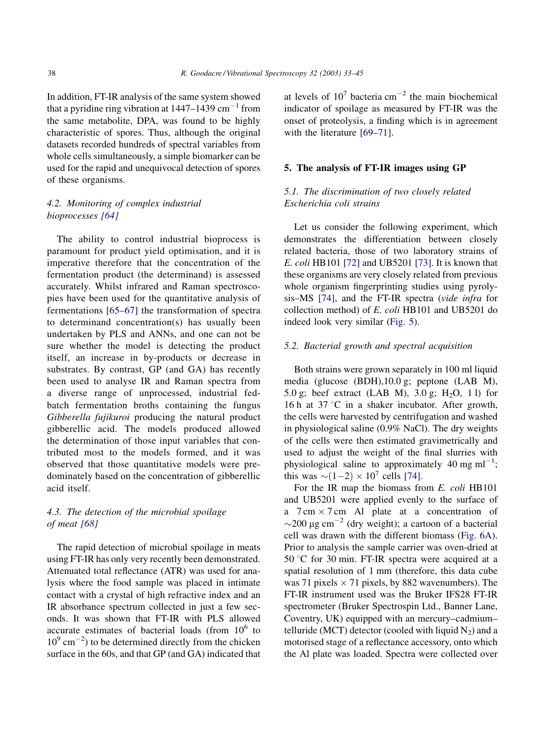In addition, FT-IR analysis of the same system showed that a pyridine ring vibration at  $1447-1439$  cm<sup>-1</sup> from the same metabolite, DPA, was found to be highly characteristic of spores. Thus, although the original datasets recorded hundreds of spectral variables from whole cells simultaneously, a simple biomarker can be used for the rapid and unequivocal detection of spores of these organisms.

# 4.2. Monitoring of complex industrial bioprocesses [\[64\]](#page-12-0)

The ability to control industrial bioprocess is paramount for product yield optimisation, and it is imperative therefore that the concentration of the fermentation product (the determinand) is assessed accurately. Whilst infrared and Raman spectroscopies have been used for the quantitative analysis of fermentations [\[65–67\]](#page-12-0) the transformation of spectra to determinand concentration(s) has usually been undertaken by PLS and ANNs, and one can not be sure whether the model is detecting the product itself, an increase in by-products or decrease in substrates. By contrast, GP (and GA) has recently been used to analyse IR and Raman spectra from a diverse range of unprocessed, industrial fedbatch fermentation broths containing the fungus Gibberella fujikuroi producing the natural product gibberellic acid. The models produced allowed the determination of those input variables that contributed most to the models formed, and it was observed that those quantitative models were predominately based on the concentration of gibberellic acid itself.

## 4.3. The detection of the microbial spoilage of meat [\[68\]](#page-12-0)

The rapid detection of microbial spoilage in meats using FT-IR has only very recently been demonstrated. Attenuated total reflectance (ATR) was used for analysis where the food sample was placed in intimate contact with a crystal of high refractive index and an IR absorbance spectrum collected in just a few seconds. It was shown that FT-IR with PLS allowed accurate estimates of bacterial loads (from  $10^6$  to  $10^{9}$  cm<sup>-2</sup>) to be determined directly from the chicken surface in the 60s, and that GP (and GA) indicated that at levels of  $10^7$  bacteria cm<sup>-2</sup> the main biochemical indicator of spoilage as measured by FT-IR was the onset of proteolysis, a finding which is in agreement with the literature [\[69–71\]](#page-12-0).

#### 5. The analysis of FT-IR images using GP

# 5.1. The discrimination of two closely related Escherichia coli strains

Let us consider the following experiment, which demonstrates the differentiation between closely related bacteria, those of two laboratory strains of E. coli HB101 [\[72\]](#page-12-0) and UB5201 [\[73\].](#page-12-0) It is known that these organisms are very closely related from previous whole organism fingerprinting studies using pyrolysis–MS [\[74\]](#page-12-0), and the FT-IR spectra (vide infra for collection method) of E. coli HB101 and UB5201 do indeed look very similar [\(Fig. 5](#page-6-0)).

## 5.2. Bacterial growth and spectral acquisition

Both strains were grown separately in 100 ml liquid media (glucose (BDH),10.0 g; peptone (LAB M), 5.0 g; beef extract (LAB M), 3.0 g;  $H_2O$ , 11) for 16 h at 37 °C in a shaker incubator. After growth, the cells were harvested by centrifugation and washed in physiological saline (0.9% NaCl). The dry weights of the cells were then estimated gravimetrically and used to adjust the weight of the final slurries with physiological saline to approximately 40 mg ml<sup>-1</sup>; this was  $\sim (1-2) \times 10^7$  cells [\[74\].](#page-12-0)

For the IR map the biomass from E. coli HB101 and UB5201 were applied evenly to the surface of a  $7 \text{ cm} \times 7 \text{ cm}$  Al plate at a concentration of  $\sim$ 200 µg cm<sup>-2</sup> (dry weight); a cartoon of a bacterial cell was drawn with the different biomass ([Fig. 6A\)](#page-7-0). Prior to analysis the sample carrier was oven-dried at 50 °C for 30 min. FT-IR spectra were acquired at a spatial resolution of 1 mm (therefore, this data cube was 71 pixels  $\times$  71 pixels, by 882 wavenumbers). The FT-IR instrument used was the Bruker IFS28 FT-IR spectrometer (Bruker Spectrospin Ltd., Banner Lane, Coventry, UK) equipped with an mercury–cadmium– telluride (MCT) detector (cooled with liquid  $N_2$ ) and a motorised stage of a reflectance accessory, onto which the Al plate was loaded. Spectra were collected over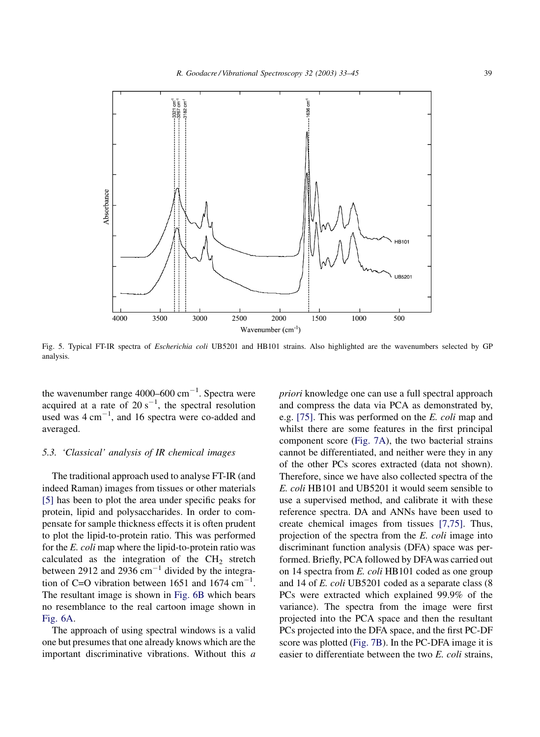<span id="page-6-0"></span>

Fig. 5. Typical FT-IR spectra of *Escherichia coli* UB5201 and HB101 strains. Also highlighted are the wavenumbers selected by GP analysis.

the wavenumber range  $4000-600$  cm<sup>-1</sup>. Spectra were acquired at a rate of  $20 s^{-1}$ , the spectral resolution used was  $4 \text{ cm}^{-1}$ , and 16 spectra were co-added and averaged.

## 5.3. 'Classical' analysis of IR chemical images

The traditional approach used to analyse FT-IR (and indeed Raman) images from tissues or other materials [\[5\]](#page-11-0) has been to plot the area under specific peaks for protein, lipid and polysaccharides. In order to compensate for sample thickness effects it is often prudent to plot the lipid-to-protein ratio. This was performed for the E. coli map where the lipid-to-protein ratio was calculated as the integration of the  $CH<sub>2</sub>$  stretch between 2912 and 2936  $cm^{-1}$  divided by the integration of C=O vibration between 1651 and 1674  $cm^{-1}$ . The resultant image is shown in [Fig. 6B](#page-7-0) which bears no resemblance to the real cartoon image shown in [Fig. 6A.](#page-7-0)

The approach of using spectral windows is a valid one but presumes that one already knows which are the important discriminative vibrations. Without this a

priori knowledge one can use a full spectral approach and compress the data via PCA as demonstrated by, e.g. [\[75\].](#page-12-0) This was performed on the E. coli map and whilst there are some features in the first principal component score ([Fig. 7A](#page-8-0)), the two bacterial strains cannot be differentiated, and neither were they in any of the other PCs scores extracted (data not shown). Therefore, since we have also collected spectra of the E. coli HB101 and UB5201 it would seem sensible to use a supervised method, and calibrate it with these reference spectra. DA and ANNs have been used to create chemical images from tissues [\[7,75\].](#page-11-0) Thus, projection of the spectra from the E. coli image into discriminant function analysis (DFA) space was performed. Briefly, PCA followed by DFAwas carried out on 14 spectra from E. coli HB101 coded as one group and 14 of E. coli UB5201 coded as a separate class (8 PCs were extracted which explained 99.9% of the variance). The spectra from the image were first projected into the PCA space and then the resultant PCs projected into the DFA space, and the first PC-DF score was plotted ([Fig. 7B\)](#page-8-0). In the PC-DFA image it is easier to differentiate between the two E. coli strains,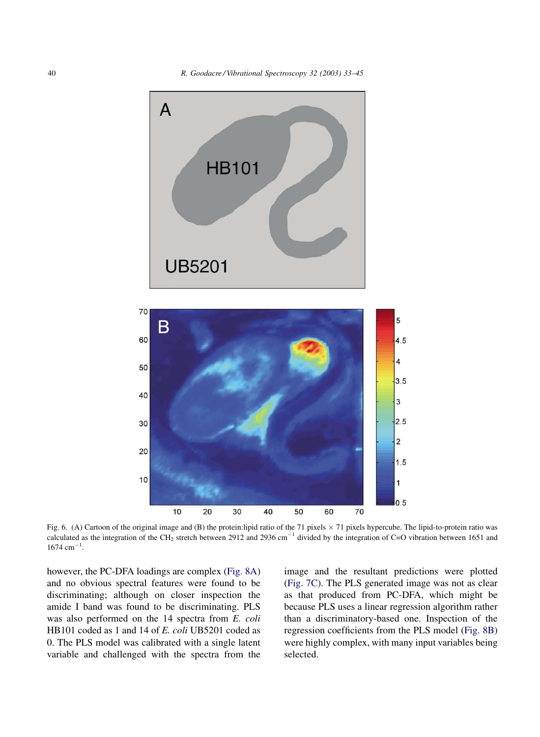<span id="page-7-0"></span>

Fig. 6. (A) Cartoon of the original image and (B) the protein:lipid ratio of the 71 pixels  $\times$  71 pixels hypercube. The lipid-to-protein ratio was calculated as the integration of the CH<sub>2</sub> stretch between 2912 and 2936 cm<sup>-1</sup> divided by the integration of C=O vibration between 1651 and  $1674 \text{ cm}^{-1}$ .

40

50

60

70

however, the PC-DFA loadings are complex ([Fig. 8A](#page-10-0)) and no obvious spectral features were found to be discriminating; although on closer inspection the amide I band was found to be discriminating. PLS was also performed on the 14 spectra from E. coli HB101 coded as 1 and 14 of E. coli UB5201 coded as 0. The PLS model was calibrated with a single latent variable and challenged with the spectra from the

10

 $10$ 

20

30

image and the resultant predictions were plotted ([Fig. 7C](#page-8-0)). The PLS generated image was not as clear as that produced from PC-DFA, which might be because PLS uses a linear regression algorithm rather than a discriminatory-based one. Inspection of the regression coefficients from the PLS model [\(Fig. 8B](#page-10-0)) were highly complex, with many input variables being selected.

 $1.5$ 

 $\overline{1}$ 

 $0.5$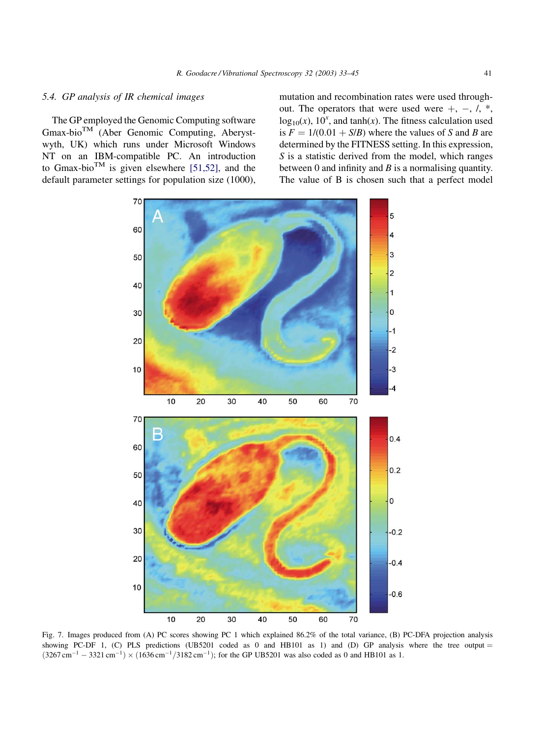## <span id="page-8-0"></span>5.4. GP analysis of IR chemical images

The GP employed the Genomic Computing software Gmax-bioTM (Aber Genomic Computing, Aberystwyth, UK) which runs under Microsoft Windows NT on an IBM-compatible PC. An introduction to Gmax-bio<sup>TM</sup> is given elsewhere [\[51,52\],](#page-12-0) and the default parameter settings for population size (1000), mutation and recombination rates were used throughout. The operators that were used were  $+$ ,  $-$ ,  $/$ ,  $*$ ,  $log_{10}(x)$ ,  $10^x$ , and tanh(x). The fitness calculation used is  $F = 1/(0.01 + S/B)$  where the values of S and B are determined by the FITNESS setting. In this expression, S is a statistic derived from the model, which ranges between 0 and infinity and  $B$  is a normalising quantity. The value of B is chosen such that a perfect model



Fig. 7. Images produced from (A) PC scores showing PC 1 which explained 86.2% of the total variance, (B) PC-DFA projection analysis showing PC-DF 1, (C) PLS predictions (UB5201 coded as 0 and HB101 as 1) and (D) GP analysis where the tree output =  $(3267 \text{ cm}^{-1} - 3321 \text{ cm}^{-1}) \times (1636 \text{ cm}^{-1}/3182 \text{ cm}^{-1})$ ; for the GP UB5201 was also coded as 0 and HB101 as 1.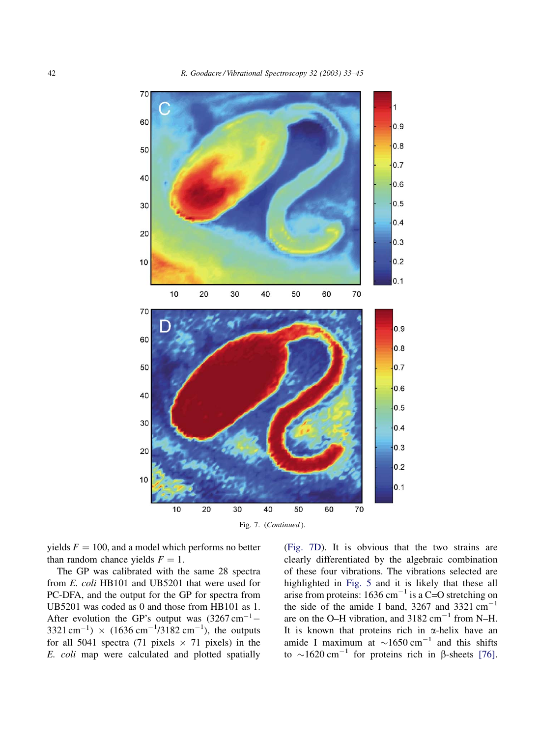

Fig. 7. (Continued).

yields  $F = 100$ , and a model which performs no better than random chance yields  $F = 1$ .

The GP was calibrated with the same 28 spectra from E. coli HB101 and UB5201 that were used for PC-DFA, and the output for the GP for spectra from UB5201 was coded as 0 and those from HB101 as 1. After evolution the GP's output was  $(3267 \text{ cm}^{-1} 3321 \text{ cm}^{-1}$ ) ×  $(1636 \text{ cm}^{-1}/3182 \text{ cm}^{-1})$ , the outputs for all 5041 spectra (71 pixels  $\times$  71 pixels) in the E. coli map were calculated and plotted spatially ([Fig. 7D\)](#page-8-0). It is obvious that the two strains are clearly differentiated by the algebraic combination of these four vibrations. The vibrations selected are highlighted in [Fig. 5](#page-6-0) and it is likely that these all arise from proteins:  $1636 \text{ cm}^{-1}$  is a C=O stretching on the side of the amide I band, 3267 and 3321  $cm^{-1}$ are on the O–H vibration, and  $3182 \text{ cm}^{-1}$  from N–H. It is known that proteins rich in  $\alpha$ -helix have an amide I maximum at  $\sim$ 1650 cm<sup>-1</sup> and this shifts to  $\sim$ 1620 cm<sup>-1</sup> for proteins rich in  $\beta$ -sheets [\[76\]](#page-12-0).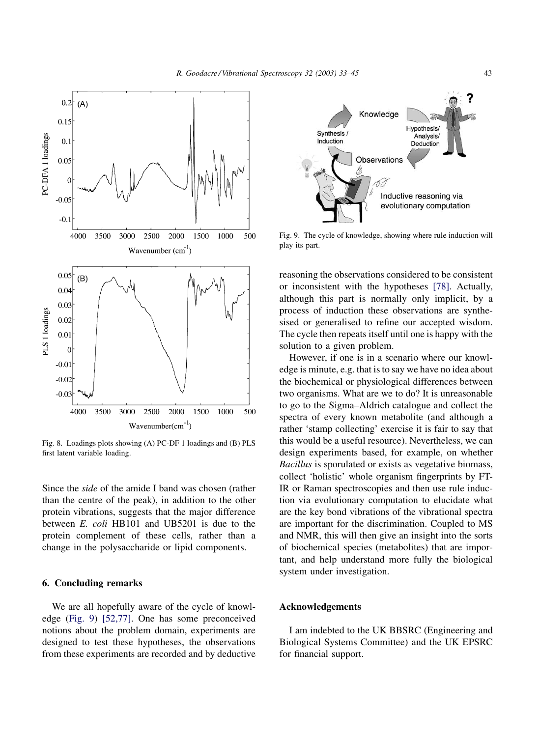<span id="page-10-0"></span>

Fig. 8. Loadings plots showing (A) PC-DF 1 loadings and (B) PLS first latent variable loading.

Since the side of the amide I band was chosen (rather than the centre of the peak), in addition to the other protein vibrations, suggests that the major difference between E. coli HB101 and UB5201 is due to the protein complement of these cells, rather than a change in the polysaccharide or lipid components.

# 6. Concluding remarks

We are all hopefully aware of the cycle of knowledge (Fig. 9) [\[52,77\]](#page-12-0). One has some preconceived notions about the problem domain, experiments are designed to test these hypotheses, the observations from these experiments are recorded and by deductive



Fig. 9. The cycle of knowledge, showing where rule induction will play its part.

reasoning the observations considered to be consistent or inconsistent with the hypotheses [\[78\]](#page-12-0). Actually, although this part is normally only implicit, by a process of induction these observations are synthesised or generalised to refine our accepted wisdom. The cycle then repeats itself until one is happy with the solution to a given problem.

However, if one is in a scenario where our knowledge is minute, e.g. that is to say we have no idea about the biochemical or physiological differences between two organisms. What are we to do? It is unreasonable to go to the Sigma–Aldrich catalogue and collect the spectra of every known metabolite (and although a rather 'stamp collecting' exercise it is fair to say that this would be a useful resource). Nevertheless, we can design experiments based, for example, on whether Bacillus is sporulated or exists as vegetative biomass, collect 'holistic' whole organism fingerprints by FT-IR or Raman spectroscopies and then use rule induction via evolutionary computation to elucidate what are the key bond vibrations of the vibrational spectra are important for the discrimination. Coupled to MS and NMR, this will then give an insight into the sorts of biochemical species (metabolites) that are important, and help understand more fully the biological system under investigation.

## Acknowledgements

I am indebted to the UK BBSRC (Engineering and Biological Systems Committee) and the UK EPSRC for financial support.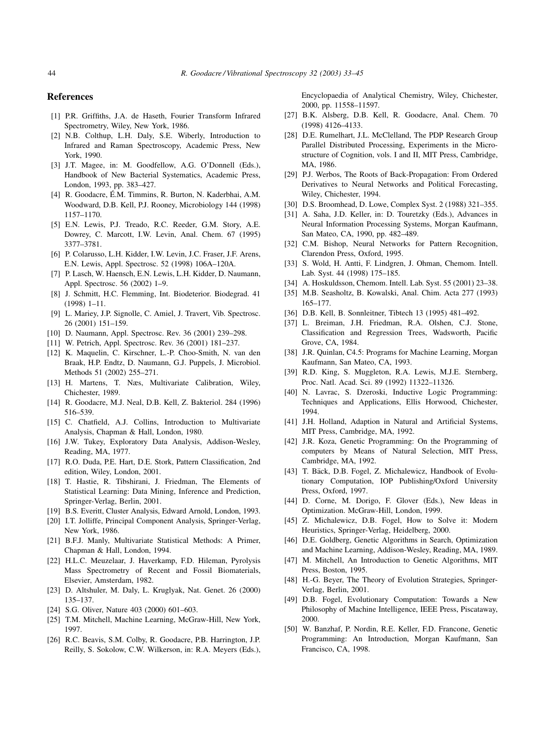#### <span id="page-11-0"></span>References

- [1] P.R. Griffiths, J.A. de Haseth, Fourier Transform Infrared Spectrometry, Wiley, New York, 1986.
- [2] N.B. Colthup, L.H. Daly, S.E. Wiberly, Introduction to Infrared and Raman Spectroscopy, Academic Press, New York, 1990.
- [3] J.T. Magee, in: M. Goodfellow, A.G. O'Donnell (Eds.), Handbook of New Bacterial Systematics, Academic Press, London, 1993, pp. 383–427.
- [4] R. Goodacre, É.M. Timmins, R. Burton, N. Kaderbhai, A.M. Woodward, D.B. Kell, P.J. Rooney, Microbiology 144 (1998) 1157–1170.
- [5] E.N. Lewis, P.J. Treado, R.C. Reeder, G.M. Story, A.E. Dowrey, C. Marcott, I.W. Levin, Anal. Chem. 67 (1995) 3377–3781.
- [6] P. Colarusso, L.H. Kidder, I.W. Levin, J.C. Fraser, J.F. Arens, E.N. Lewis, Appl. Spectrosc. 52 (1998) 106A–120A.
- [7] P. Lasch, W. Haensch, E.N. Lewis, L.H. Kidder, D. Naumann, Appl. Spectrosc. 56 (2002) 1–9.
- [8] J. Schmitt, H.C. Flemming, Int. Biodeterior. Biodegrad. 41 (1998) 1–11.
- [9] L. Mariey, J.P. Signolle, C. Amiel, J. Travert, Vib. Spectrosc. 26 (2001) 151–159.
- [10] D. Naumann, Appl. Spectrosc. Rev. 36 (2001) 239–298.
- [11] W. Petrich, Appl. Spectrosc. Rev. 36 (2001) 181–237.
- [12] K. Maquelin, C. Kirschner, L.-P. Choo-Smith, N. van den Braak, H.P. Endtz, D. Naumann, G.J. Puppels, J. Microbiol. Methods 51 (2002) 255–271.
- [13] H. Martens, T. Næs, Multivariate Calibration, Wiley, Chichester, 1989.
- [14] R. Goodacre, M.J. Neal, D.B. Kell, Z. Bakteriol. 284 (1996) 516–539.
- [15] C. Chatfield, A.J. Collins, Introduction to Multivariate Analysis, Chapman & Hall, London, 1980.
- [16] J.W. Tukey, Exploratory Data Analysis, Addison-Wesley, Reading, MA, 1977.
- [17] R.O. Duda, P.E. Hart, D.E. Stork, Pattern Classification, 2nd edition, Wiley, London, 2001.
- [18] T. Hastie, R. Tibshirani, J. Friedman, The Elements of Statistical Learning: Data Mining, Inference and Prediction, Springer-Verlag, Berlin, 2001.
- [19] B.S. Everitt, Cluster Analysis, Edward Arnold, London, 1993.
- [20] I.T. Jolliffe, Principal Component Analysis, Springer-Verlag, New York, 1986.
- [21] B.F.J. Manly, Multivariate Statistical Methods: A Primer, Chapman & Hall, London, 1994.
- [22] H.L.C. Meuzelaar, J. Haverkamp, F.D. Hileman, Pyrolysis Mass Spectrometry of Recent and Fossil Biomaterials, Elsevier, Amsterdam, 1982.
- [23] D. Altshuler, M. Daly, L. Kruglyak, Nat. Genet. 26 (2000) 135–137.
- [24] S.G. Oliver, Nature 403 (2000) 601-603.
- [25] T.M. Mitchell, Machine Learning, McGraw-Hill, New York, 1997.
- [26] R.C. Beavis, S.M. Colby, R. Goodacre, P.B. Harrington, J.P. Reilly, S. Sokolow, C.W. Wilkerson, in: R.A. Meyers (Eds.),

Encyclopaedia of Analytical Chemistry, Wiley, Chichester, 2000, pp. 11558–11597.

- [27] B.K. Alsberg, D.B. Kell, R. Goodacre, Anal. Chem. 70 (1998) 4126–4133.
- [28] D.E. Rumelhart, J.L. McClelland, The PDP Research Group Parallel Distributed Processing, Experiments in the Microstructure of Cognition, vols. I and II, MIT Press, Cambridge, MA, 1986.
- [29] P.J. Werbos, The Roots of Back-Propagation: From Ordered Derivatives to Neural Networks and Political Forecasting, Wiley, Chichester, 1994.
- [30] D.S. Broomhead, D. Lowe, Complex Syst. 2 (1988) 321–355.
- [31] A. Saha, J.D. Keller, in: D. Touretzky (Eds.), Advances in Neural Information Processing Systems, Morgan Kaufmann, San Mateo, CA, 1990, pp. 482–489.
- [32] C.M. Bishop, Neural Networks for Pattern Recognition, Clarendon Press, Oxford, 1995.
- [33] S. Wold, H. Antti, F. Lindgren, J. Ohman, Chemom. Intell. Lab. Syst. 44 (1998) 175–185.
- [34] A. Hoskuldsson, Chemom. Intell. Lab. Syst. 55 (2001) 23-38.
- [35] M.B. Seasholtz, B. Kowalski, Anal. Chim. Acta 277 (1993) 165–177.
- [36] D.B. Kell, B. Sonnleitner, Tibtech 13 (1995) 481-492.
- [37] L. Breiman, J.H. Friedman, R.A. Olshen, C.J. Stone, Classification and Regression Trees, Wadsworth, Pacific Grove, CA, 1984.
- [38] J.R. Quinlan, C4.5: Programs for Machine Learning, Morgan Kaufmann, San Mateo, CA, 1993.
- [39] R.D. King, S. Muggleton, R.A. Lewis, M.J.E. Sternberg, Proc. Natl. Acad. Sci. 89 (1992) 11322–11326.
- [40] N. Lavrac, S. Dzeroski, Inductive Logic Programming: Techniques and Applications, Ellis Horwood, Chichester, 1994.
- [41] J.H. Holland, Adaption in Natural and Artificial Systems, MIT Press, Cambridge, MA, 1992.
- [42] J.R. Koza, Genetic Programming: On the Programming of computers by Means of Natural Selection, MIT Press, Cambridge, MA, 1992.
- [43] T. Bäck, D.B. Fogel, Z. Michalewicz, Handbook of Evolutionary Computation, IOP Publishing/Oxford University Press, Oxford, 1997.
- [44] D. Corne, M. Dorigo, F. Glover (Eds.), New Ideas in Optimization. McGraw-Hill, London, 1999.
- [45] Z. Michalewicz, D.B. Fogel, How to Solve it: Modern Heuristics, Springer-Verlag, Heidelberg, 2000.
- [46] D.E. Goldberg, Genetic Algorithms in Search, Optimization and Machine Learning, Addison-Wesley, Reading, MA, 1989.
- [47] M. Mitchell, An Introduction to Genetic Algorithms, MIT Press, Boston, 1995.
- [48] H.-G. Beyer, The Theory of Evolution Strategies, Springer-Verlag, Berlin, 2001.
- [49] D.B. Fogel, Evolutionary Computation: Towards a New Philosophy of Machine Intelligence, IEEE Press, Piscataway, 2000.
- [50] W. Banzhaf, P. Nordin, R.E. Keller, F.D. Francone, Genetic Programming: An Introduction, Morgan Kaufmann, San Francisco, CA, 1998.